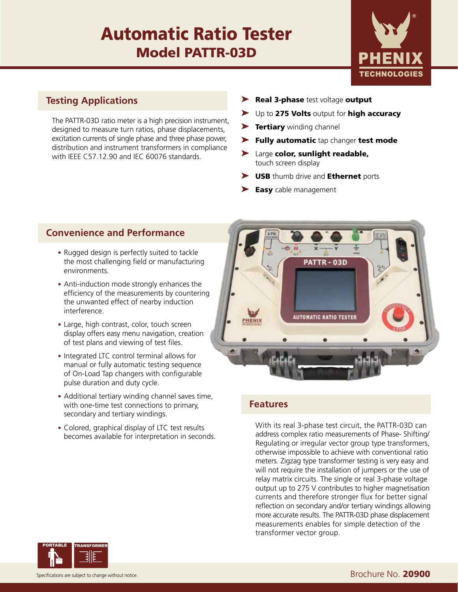# Automatic Ratio Tester Model PATTR-03D



### **Testing Applications**

The PATTR-03D ratio meter is a high precision instrument, designed to measure turn ratios, phase displacements, excitation currents of single phase and three phase power, distribution and instrument transformers in compliance with IEEE C57.12.90 and IEC 60076 standards.

- ▶ Real 3-phase test voltage output
- ▶ Up to 275 Volts output for high accuracy
- ▶ Tertiary winding channel
- Fully automatic tap changer test mode
- ➤ Large color, sunlight readable, touch screen display
- ► USB thumb drive and Ethernet ports
- $\blacktriangleright$  Easy cable management

### **Convenience and Performance**

- Rugged design is perfectly suited to tackle the most challenging field or manufacturing environments.
- Anti-induction mode strongly enhances the efficiency of the measurements by countering the unwanted effect of nearby induction interference.
- Large, high contrast, color, touch screen display offers easy menu navigation, creation of test plans and viewing of test files.
- Integrated LTC control terminal allows for manual or fully automatic testing sequence of On-Load Tap changers with configurable pulse duration and duty cycle.
- Additional tertiary winding channel saves time, with one-time test connections to primary, secondary and tertiary windings.
- Colored, graphical display of LTC test results becomes available for interpretation in seconds.



### **Features**

With its real 3-phase test circuit, the PATTR-03D can address complex ratio measurements of Phase- Shifting/ Regulating or irregular vector group type transformers, otherwise impossible to achieve with conventional ratio meters. Zigzag type transformer testing is very easy and will not require the installation of jumpers or the use of relay matrix circuits. The single or real 3-phase voltage output up to 275 V contributes to higher magnetisation currents and therefore stronger flux for better signal reflection on secondary and/or tertiary windings allowing more accurate results. The PATTR-03D phase displacement measurements enables for simple detection of the transformer vector group.